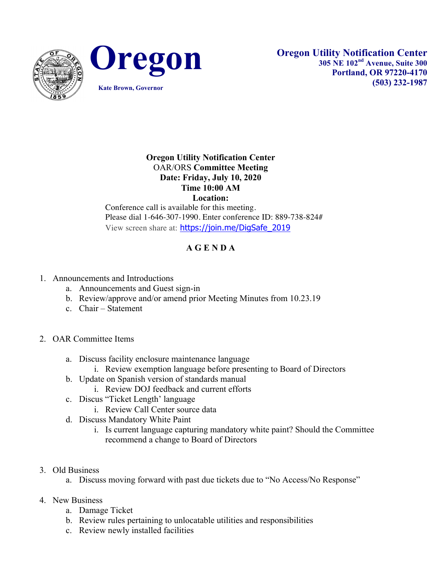



## **Oregon Utility Notification Center** OAR/ORS **Committee Meeting Date: Friday, July 10, 2020 Time 10:00 AM Location:**

Conference call is available for this meeting. Please dial 1-646-307-1990. Enter conference ID: 889-738-824# View screen share at: https://join.me/DigSafe\_2019

## **A G E N D A**

## 1. Announcements and Introductions

- a. Announcements and Guest sign-in
- b. Review/approve and/or amend prior Meeting Minutes from 10.23.19
- c. Chair Statement
- 2. OAR Committee Items
	- a. Discuss facility enclosure maintenance language
		- i. Review exemption language before presenting to Board of Directors
	- b. Update on Spanish version of standards manual
		- i. Review DOJ feedback and current efforts
	- c. Discus "Ticket Length' language
		- i. Review Call Center source data
	- d. Discuss Mandatory White Paint
		- i. Is current language capturing mandatory white paint? Should the Committee recommend a change to Board of Directors
- 3. Old Business
	- a. Discuss moving forward with past due tickets due to "No Access/No Response"
- 4. New Business
	- a. Damage Ticket
	- b. Review rules pertaining to unlocatable utilities and responsibilities
	- c. Review newly installed facilities